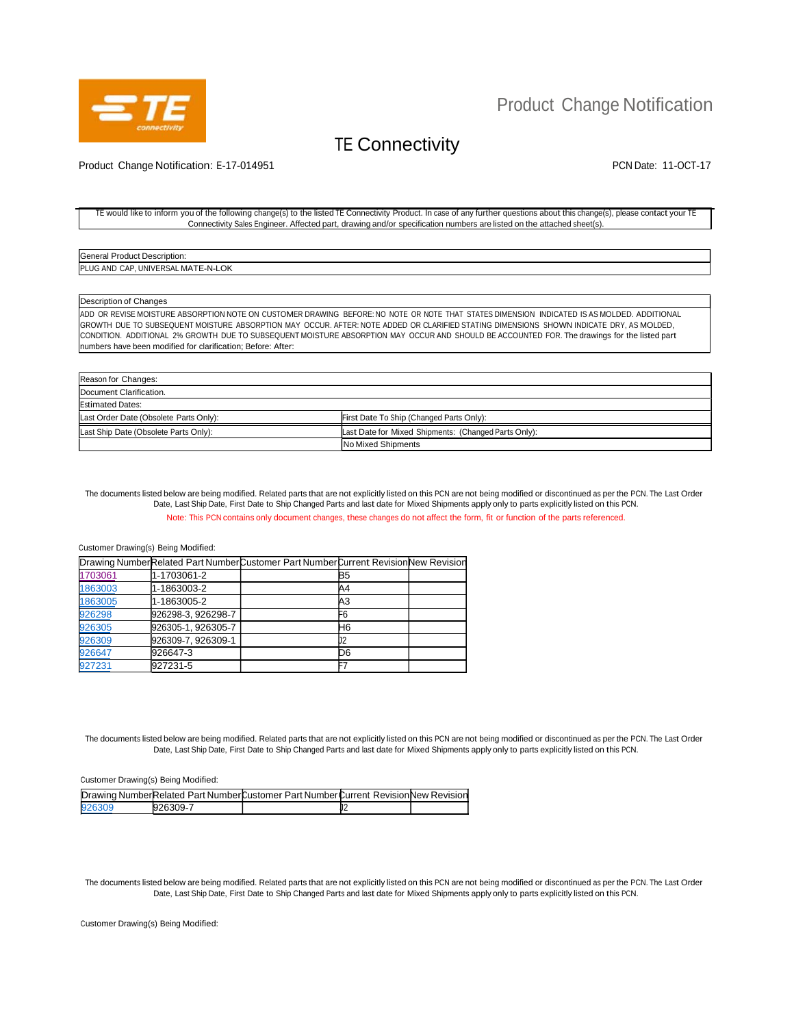

## Product Change Notification

# TE Connectivity

Product Change Notification: E-17-014951 PCN Date: 11-OCT-17

#### TE would like to inform you of the following change(s) to the listed TE Connectivity Product. In case of any further questions about this change(s), please contact your TE Connectivity Sales Engineer. Affected part, drawing and/or specification numbers are listed on the attached sheet(s).

General Product Description: PLUG AND CAP, UNIVERSAL MATE-N-LOK

Description of Changes

ADD OR REVISE MOISTURE ABSORPTION NOTE ON CUSTOMER DRAWING BEFORE: NO NOTE OR NOTE THAT STATES DIMENSION INDICATED IS AS MOLDED. ADDITIONAL GROWTH DUE TO SUBSEQUENT MOISTURE ABSORPTION MAY OCCUR. AFTER: NOTE ADDED OR CLARIFIED STATING DIMENSIONS SHOWN INDICATE DRY, AS MOLDED, CONDITION. ADDITIONAL 2% GROWTH DUE TO SUBSEQUENT MOISTURE ABSORPTION MAY OCCUR AND SHOULD BE ACCOUNTED FOR. The drawings for the listed part numbers have been modified for clarification; Before: After:

| Reason for Changes:                    |                                                      |  |
|----------------------------------------|------------------------------------------------------|--|
| Document Clarification.                |                                                      |  |
|                                        |                                                      |  |
| <b>Estimated Dates:</b>                |                                                      |  |
| Last Order Date (Obsolete Parts Only): | First Date To Ship (Changed Parts Only):             |  |
| Last Ship Date (Obsolete Parts Only):  | Last Date for Mixed Shipments: (Changed Parts Only): |  |
|                                        | No Mixed Shipments                                   |  |

The documents listed below are being modified. Related parts that are not explicitly listed on this PCN are not being modified or discontinued as per the PCN. The Last Order Date, Last Ship Date, First Date to Ship Changed Parts and last date for Mixed Shipments apply only to parts explicitly listed on this PCN. Note: This PCN contains only document changes, these changes do not affect the form, fit or function of the parts referenced.

#### Customer Drawing(s) Being Modified:

|         |                    | Drawing NumberRelated Part NumberCustomer Part NumberCurrent RevisionNew Revision |                |  |
|---------|--------------------|-----------------------------------------------------------------------------------|----------------|--|
| 1703061 | 1-1703061-2        |                                                                                   | B5             |  |
| 1863003 | 1-1863003-2        |                                                                                   | A4             |  |
| 1863005 | 1-1863005-2        |                                                                                   | A <sub>3</sub> |  |
| 926298  | 926298-3, 926298-7 |                                                                                   | F <sub>6</sub> |  |
| 926305  | 926305-1, 926305-7 |                                                                                   | H6             |  |
| 926309  | 926309-7, 926309-1 |                                                                                   |                |  |
| 926647  | 926647-3           |                                                                                   | D6             |  |
| 927231  | 927231-5           |                                                                                   |                |  |

The documents listed below are being modified. Related parts that are not explicitly listed on this PCN are not being modified or discontinued as per the PCN. The Last Order Date, Last Ship Date, First Date to Ship Changed Parts and last date for Mixed Shipments apply only to parts explicitly listed on this PCN.

#### Customer Drawing(s) Being Modified:

|        |          | Drawing NumberRelated Part NumberCustomer Part NumberCurrent RevisionNew Revision |  |
|--------|----------|-----------------------------------------------------------------------------------|--|
| 926309 | 926309-7 |                                                                                   |  |

The documents listed below are being modified. Related parts that are not explicitly listed on this PCN are not being modified or discontinued as per the PCN. The Last Order Date, Last Ship Date, First Date to Ship Changed Parts and last date for Mixed Shipments apply only to parts explicitly listed on this PCN.